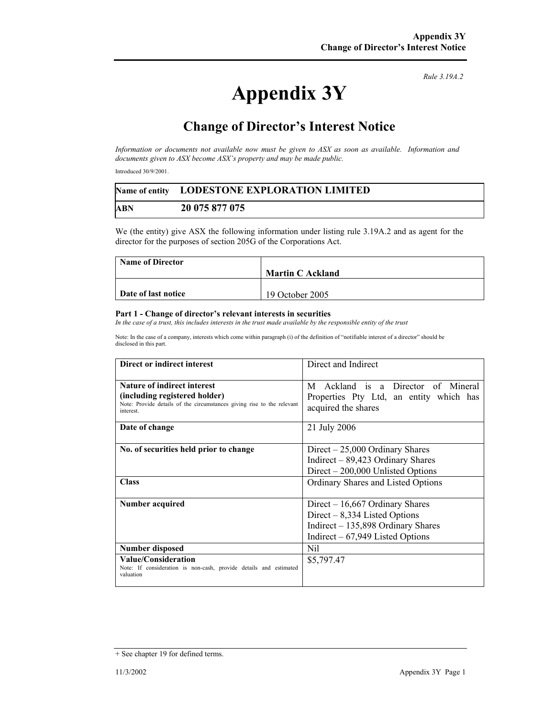*Rule 3.19A.2*

## **Appendix 3Y**

## **Change of Director's Interest Notice**

*Information or documents not available now must be given to ASX as soon as available. Information and documents given to ASX become ASX's property and may be made public.* 

Introduced 30/9/2001.

|     | Name of entity LODESTONE EXPLORATION LIMITED |  |
|-----|----------------------------------------------|--|
| ABN | 20 075 877 075                               |  |

We (the entity) give ASX the following information under listing rule 3.19A.2 and as agent for the director for the purposes of section 205G of the Corporations Act.

| <b>Name of Director</b> |                         |
|-------------------------|-------------------------|
|                         | <b>Martin C Ackland</b> |
|                         |                         |
| Date of last notice     | 19 October 2005         |

## **Part 1 - Change of director's relevant interests in securities**

*In the case of a trust, this includes interests in the trust made available by the responsible entity of the trust* 

Note: In the case of a company, interests which come within paragraph (i) of the definition of "notifiable interest of a director" should be disclosed in this part.

| Direct or indirect interest                                                                                                                                | Direct and Indirect                                                                                                                                  |
|------------------------------------------------------------------------------------------------------------------------------------------------------------|------------------------------------------------------------------------------------------------------------------------------------------------------|
| <b>Nature of indirect interest</b><br>(including registered holder)<br>Note: Provide details of the circumstances giving rise to the relevant<br>interest. | Ackland is a Director of Mineral<br>M<br>Properties Pty Ltd, an entity which has<br>acquired the shares                                              |
| Date of change                                                                                                                                             | 21 July 2006                                                                                                                                         |
| No. of securities held prior to change<br><b>Class</b>                                                                                                     | $Direct - 25,000$ Ordinary Shares<br>Indirect $-89,423$ Ordinary Shares<br>$Direct - 200,000$ Unlisted Options<br>Ordinary Shares and Listed Options |
| Number acquired                                                                                                                                            | Direct $-16,667$ Ordinary Shares<br>Direct $-8,334$ Listed Options<br>Indirect $-135,898$ Ordinary Shares<br>Indirect $-67,949$ Listed Options       |
| Number disposed                                                                                                                                            | Nil                                                                                                                                                  |
| Value/Consideration<br>Note: If consideration is non-cash, provide details and estimated<br>valuation                                                      | \$5,797.47                                                                                                                                           |

<sup>+</sup> See chapter 19 for defined terms.